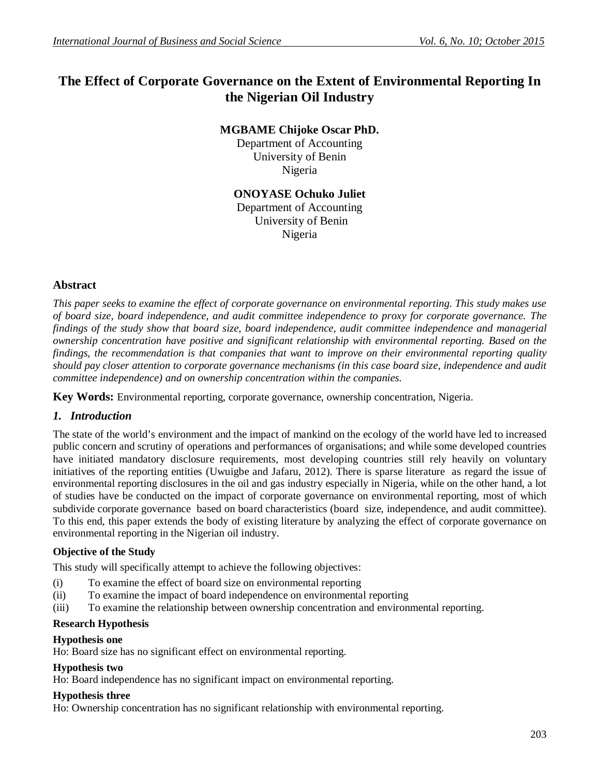# **The Effect of Corporate Governance on the Extent of Environmental Reporting In the Nigerian Oil Industry**

**MGBAME Chijoke Oscar PhD.**

Department of Accounting University of Benin Nigeria

**ONOYASE Ochuko Juliet**

Department of Accounting University of Benin Nigeria

## **Abstract**

*This paper seeks to examine the effect of corporate governance on environmental reporting. This study makes use of board size, board independence, and audit committee independence to proxy for corporate governance. The findings of the study show that board size, board independence, audit committee independence and managerial ownership concentration have positive and significant relationship with environmental reporting. Based on the findings, the recommendation is that companies that want to improve on their environmental reporting quality should pay closer attention to corporate governance mechanisms (in this case board size, independence and audit committee independence) and on ownership concentration within the companies.*

**Key Words:** Environmental reporting, corporate governance, ownership concentration, Nigeria.

### *1. Introduction*

The state of the world's environment and the impact of mankind on the ecology of the world have led to increased public concern and scrutiny of operations and performances of organisations; and while some developed countries have initiated mandatory disclosure requirements, most developing countries still rely heavily on voluntary initiatives of the reporting entities (Uwuigbe and Jafaru, 2012). There is sparse literature as regard the issue of environmental reporting disclosures in the oil and gas industry especially in Nigeria, while on the other hand, a lot of studies have be conducted on the impact of corporate governance on environmental reporting, most of which subdivide corporate governance based on board characteristics (board size, independence, and audit committee). To this end, this paper extends the body of existing literature by analyzing the effect of corporate governance on environmental reporting in the Nigerian oil industry.

### **Objective of the Study**

This study will specifically attempt to achieve the following objectives:

- (i) To examine the effect of board size on environmental reporting
- (ii) To examine the impact of board independence on environmental reporting
- (iii) To examine the relationship between ownership concentration and environmental reporting.

#### **Research Hypothesis**

#### **Hypothesis one**

Ho: Board size has no significant effect on environmental reporting.

# **Hypothesis two**

Ho: Board independence has no significant impact on environmental reporting.

# **Hypothesis three**

Ho: Ownership concentration has no significant relationship with environmental reporting.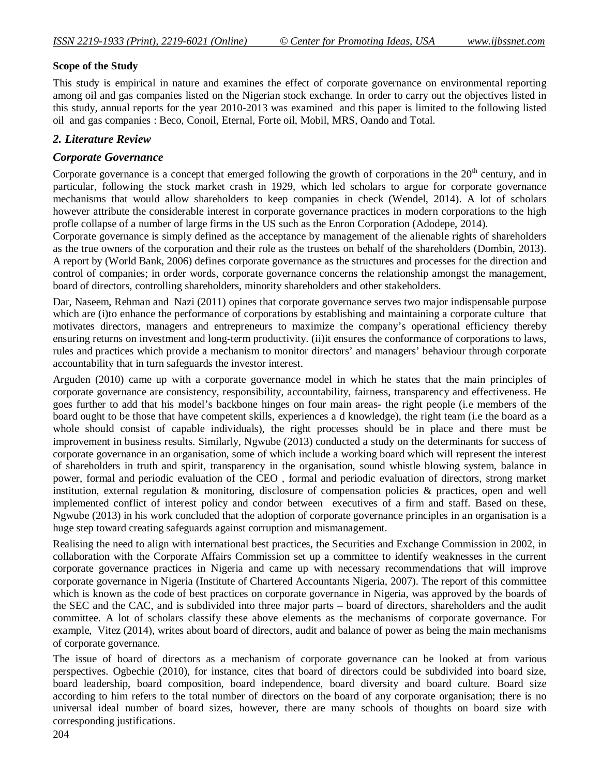#### **Scope of the Study**

This study is empirical in nature and examines the effect of corporate governance on environmental reporting among oil and gas companies listed on the Nigerian stock exchange. In order to carry out the objectives listed in this study, annual reports for the year 2010-2013 was examined and this paper is limited to the following listed oil and gas companies : Beco, Conoil, Eternal, Forte oil, Mobil, MRS, Oando and Total.

## *2. Literature Review*

## *Corporate Governance*

Corporate governance is a concept that emerged following the growth of corporations in the  $20<sup>th</sup>$  century, and in particular, following the stock market crash in 1929, which led scholars to argue for corporate governance mechanisms that would allow shareholders to keep companies in check (Wendel, 2014). A lot of scholars however attribute the considerable interest in corporate governance practices in modern corporations to the high profle collapse of a number of large firms in the US such as the Enron Corporation (Adodepe, 2014).

Corporate governance is simply defined as the acceptance by management of the alienable rights of shareholders as the true owners of the corporation and their role as the trustees on behalf of the shareholders (Dombin, 2013). A report by (World Bank, 2006) defines corporate governance as the structures and processes for the direction and control of companies; in order words, corporate governance concerns the relationship amongst the management, board of directors, controlling shareholders, minority shareholders and other stakeholders.

Dar, Naseem, Rehman and Nazi (2011) opines that corporate governance serves two major indispensable purpose which are (i)to enhance the performance of corporations by establishing and maintaining a corporate culture that motivates directors, managers and entrepreneurs to maximize the company's operational efficiency thereby ensuring returns on investment and long-term productivity. (ii)it ensures the conformance of corporations to laws, rules and practices which provide a mechanism to monitor directors' and managers' behaviour through corporate accountability that in turn safeguards the investor interest.

Arguden (2010) came up with a corporate governance model in which he states that the main principles of corporate governance are consistency, responsibility, accountability, fairness, transparency and effectiveness. He goes further to add that his model's backbone hinges on four main areas- the right people (i.e members of the board ought to be those that have competent skills, experiences a d knowledge), the right team (i.e the board as a whole should consist of capable individuals), the right processes should be in place and there must be improvement in business results. Similarly, Ngwube (2013) conducted a study on the determinants for success of corporate governance in an organisation, some of which include a working board which will represent the interest of shareholders in truth and spirit, transparency in the organisation, sound whistle blowing system, balance in power, formal and periodic evaluation of the CEO , formal and periodic evaluation of directors, strong market institution, external regulation & monitoring, disclosure of compensation policies & practices, open and well implemented conflict of interest policy and condor between executives of a firm and staff. Based on these, Ngwube (2013) in his work concluded that the adoption of corporate governance principles in an organisation is a huge step toward creating safeguards against corruption and mismanagement.

Realising the need to align with international best practices, the Securities and Exchange Commission in 2002, in collaboration with the Corporate Affairs Commission set up a committee to identify weaknesses in the current corporate governance practices in Nigeria and came up with necessary recommendations that will improve corporate governance in Nigeria (Institute of Chartered Accountants Nigeria, 2007). The report of this committee which is known as the code of best practices on corporate governance in Nigeria, was approved by the boards of the SEC and the CAC, and is subdivided into three major parts – board of directors, shareholders and the audit committee. A lot of scholars classify these above elements as the mechanisms of corporate governance. For example, Vitez (2014), writes about board of directors, audit and balance of power as being the main mechanisms of corporate governance.

The issue of board of directors as a mechanism of corporate governance can be looked at from various perspectives. Ogbechie (2010), for instance, cites that board of directors could be subdivided into board size, board leadership, board composition, board independence, board diversity and board culture. Board size according to him refers to the total number of directors on the board of any corporate organisation; there is no universal ideal number of board sizes, however, there are many schools of thoughts on board size with corresponding justifications.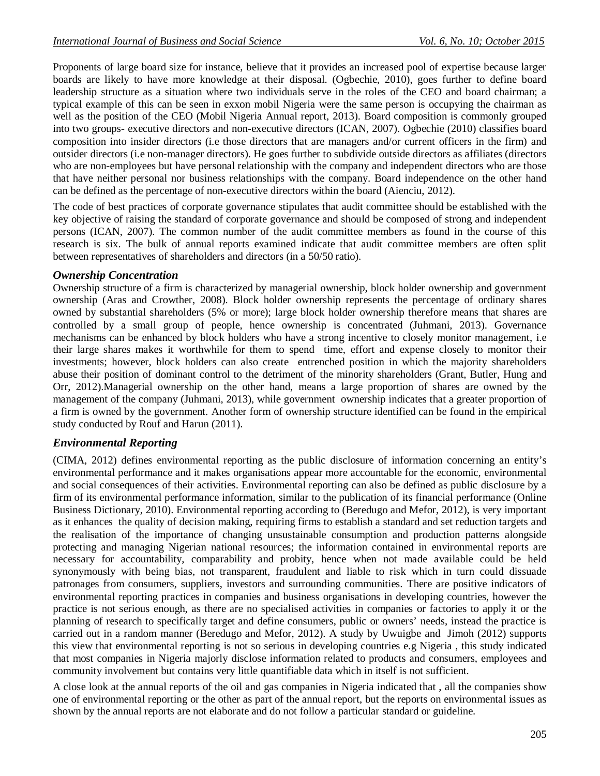Proponents of large board size for instance, believe that it provides an increased pool of expertise because larger boards are likely to have more knowledge at their disposal. (Ogbechie, 2010), goes further to define board leadership structure as a situation where two individuals serve in the roles of the CEO and board chairman; a typical example of this can be seen in exxon mobil Nigeria were the same person is occupying the chairman as well as the position of the CEO (Mobil Nigeria Annual report, 2013). Board composition is commonly grouped into two groups- executive directors and non-executive directors (ICAN, 2007). Ogbechie (2010) classifies board composition into insider directors (i.e those directors that are managers and/or current officers in the firm) and outsider directors (i.e non-manager directors). He goes further to subdivide outside directors as affiliates (directors who are non-employees but have personal relationship with the company and independent directors who are those that have neither personal nor business relationships with the company. Board independence on the other hand can be defined as the percentage of non-executive directors within the board (Aienciu, 2012).

The code of best practices of corporate governance stipulates that audit committee should be established with the key objective of raising the standard of corporate governance and should be composed of strong and independent persons (ICAN, 2007). The common number of the audit committee members as found in the course of this research is six. The bulk of annual reports examined indicate that audit committee members are often split between representatives of shareholders and directors (in a 50/50 ratio).

### *Ownership Concentration*

Ownership structure of a firm is characterized by managerial ownership, block holder ownership and government ownership (Aras and Crowther, 2008). Block holder ownership represents the percentage of ordinary shares owned by substantial shareholders (5% or more); large block holder ownership therefore means that shares are controlled by a small group of people, hence ownership is concentrated (Juhmani, 2013). Governance mechanisms can be enhanced by block holders who have a strong incentive to closely monitor management, i.e their large shares makes it worthwhile for them to spend time, effort and expense closely to monitor their investments; however, block holders can also create entrenched position in which the majority shareholders abuse their position of dominant control to the detriment of the minority shareholders (Grant, Butler, Hung and Orr, 2012).Managerial ownership on the other hand, means a large proportion of shares are owned by the management of the company (Juhmani, 2013), while government ownership indicates that a greater proportion of a firm is owned by the government. Another form of ownership structure identified can be found in the empirical study conducted by Rouf and Harun (2011).

### *Environmental Reporting*

(CIMA, 2012) defines environmental reporting as the public disclosure of information concerning an entity's environmental performance and it makes organisations appear more accountable for the economic, environmental and social consequences of their activities. Environmental reporting can also be defined as public disclosure by a firm of its environmental performance information, similar to the publication of its financial performance (Online Business Dictionary, 2010). Environmental reporting according to (Beredugo and Mefor, 2012), is very important as it enhances the quality of decision making, requiring firms to establish a standard and set reduction targets and the realisation of the importance of changing unsustainable consumption and production patterns alongside protecting and managing Nigerian national resources; the information contained in environmental reports are necessary for accountability, comparability and probity, hence when not made available could be held synonymously with being bias, not transparent, fraudulent and liable to risk which in turn could dissuade patronages from consumers, suppliers, investors and surrounding communities. There are positive indicators of environmental reporting practices in companies and business organisations in developing countries, however the practice is not serious enough, as there are no specialised activities in companies or factories to apply it or the planning of research to specifically target and define consumers, public or owners' needs, instead the practice is carried out in a random manner (Beredugo and Mefor, 2012). A study by Uwuigbe and Jimoh (2012) supports this view that environmental reporting is not so serious in developing countries e.g Nigeria , this study indicated that most companies in Nigeria majorly disclose information related to products and consumers, employees and community involvement but contains very little quantifiable data which in itself is not sufficient.

A close look at the annual reports of the oil and gas companies in Nigeria indicated that , all the companies show one of environmental reporting or the other as part of the annual report, but the reports on environmental issues as shown by the annual reports are not elaborate and do not follow a particular standard or guideline.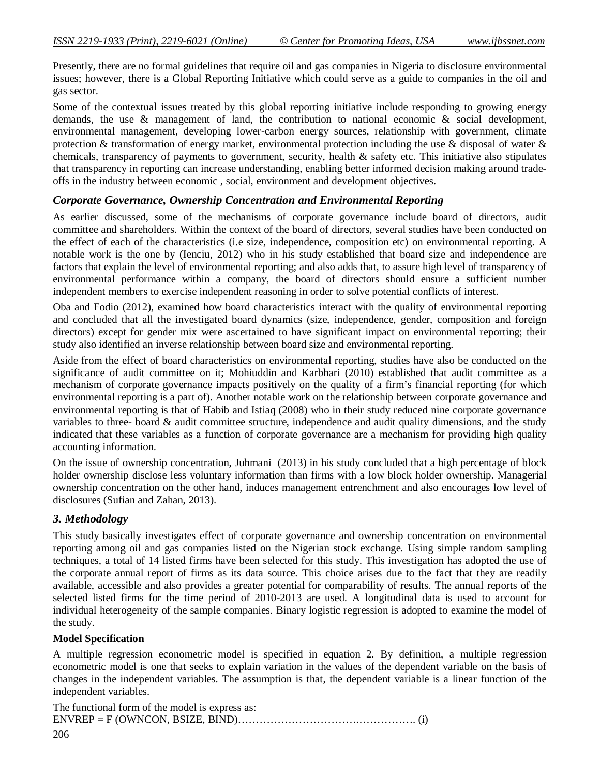Presently, there are no formal guidelines that require oil and gas companies in Nigeria to disclosure environmental issues; however, there is a Global Reporting Initiative which could serve as a guide to companies in the oil and gas sector.

Some of the contextual issues treated by this global reporting initiative include responding to growing energy demands, the use & management of land, the contribution to national economic & social development, environmental management, developing lower-carbon energy sources, relationship with government, climate protection & transformation of energy market, environmental protection including the use & disposal of water & chemicals, transparency of payments to government, security, health & safety etc. This initiative also stipulates that transparency in reporting can increase understanding, enabling better informed decision making around tradeoffs in the industry between economic , social, environment and development objectives.

### *Corporate Governance, Ownership Concentration and Environmental Reporting*

As earlier discussed, some of the mechanisms of corporate governance include board of directors, audit committee and shareholders. Within the context of the board of directors, several studies have been conducted on the effect of each of the characteristics (i.e size, independence, composition etc) on environmental reporting. A notable work is the one by (Ienciu, 2012) who in his study established that board size and independence are factors that explain the level of environmental reporting; and also adds that, to assure high level of transparency of environmental performance within a company, the board of directors should ensure a sufficient number independent members to exercise independent reasoning in order to solve potential conflicts of interest.

Oba and Fodio (2012), examined how board characteristics interact with the quality of environmental reporting and concluded that all the investigated board dynamics (size, independence, gender, composition and foreign directors) except for gender mix were ascertained to have significant impact on environmental reporting; their study also identified an inverse relationship between board size and environmental reporting.

Aside from the effect of board characteristics on environmental reporting, studies have also be conducted on the significance of audit committee on it; Mohiuddin and Karbhari (2010) established that audit committee as a mechanism of corporate governance impacts positively on the quality of a firm's financial reporting (for which environmental reporting is a part of). Another notable work on the relationship between corporate governance and environmental reporting is that of Habib and Istiaq (2008) who in their study reduced nine corporate governance variables to three- board & audit committee structure, independence and audit quality dimensions, and the study indicated that these variables as a function of corporate governance are a mechanism for providing high quality accounting information.

On the issue of ownership concentration, Juhmani (2013) in his study concluded that a high percentage of block holder ownership disclose less voluntary information than firms with a low block holder ownership. Managerial ownership concentration on the other hand, induces management entrenchment and also encourages low level of disclosures (Sufian and Zahan, 2013).

### *3. Methodology*

This study basically investigates effect of corporate governance and ownership concentration on environmental reporting among oil and gas companies listed on the Nigerian stock exchange. Using simple random sampling techniques, a total of 14 listed firms have been selected for this study. This investigation has adopted the use of the corporate annual report of firms as its data source. This choice arises due to the fact that they are readily available, accessible and also provides a greater potential for comparability of results. The annual reports of the selected listed firms for the time period of 2010-2013 are used. A longitudinal data is used to account for individual heterogeneity of the sample companies. Binary logistic regression is adopted to examine the model of the study.

#### **Model Specification**

A multiple regression econometric model is specified in equation 2. By definition, a multiple regression econometric model is one that seeks to explain variation in the values of the dependent variable on the basis of changes in the independent variables. The assumption is that, the dependent variable is a linear function of the independent variables.

The functional form of the model is express as: ENVREP = F (OWNCON, BSIZE, BIND)…………………………….……………. (i)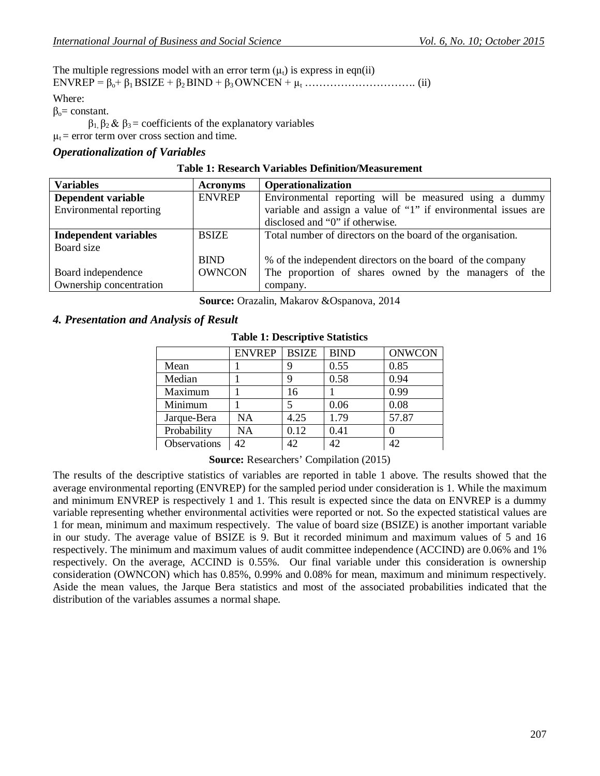The multiple regressions model with an error term  $(\mu_t)$  is express in eqn(ii) ENVREP = βo+ β1 BSIZE + β2 BIND + β3 OWNCEN + µ<sup>t</sup> …………………………. (ii) Where:

 $β<sub>o</sub> = constant.$ 

 $β_1, β_2 & β_3 =$  coefficients of the explanatory variables

 $\mu_t$  = error term over cross section and time.

#### *Operationalization of Variables*

| <b>Table 1: Research Variables Definition/Measurement</b> |  |  |  |
|-----------------------------------------------------------|--|--|--|
|-----------------------------------------------------------|--|--|--|

| <b>Variables</b>             | <b>Acronyms</b> | <b>Operationalization</b>                                      |
|------------------------------|-----------------|----------------------------------------------------------------|
| Dependent variable           | <b>ENVREP</b>   | Environmental reporting will be measured using a dummy         |
| Environmental reporting      |                 | variable and assign a value of "1" if environmental issues are |
|                              |                 | disclosed and "0" if otherwise.                                |
| <b>Independent variables</b> | <b>BSIZE</b>    | Total number of directors on the board of the organisation.    |
| Board size                   |                 |                                                                |
|                              | <b>BIND</b>     | % of the independent directors on the board of the company     |
| Board independence           | <b>OWNCON</b>   | The proportion of shares owned by the managers of the          |
| Ownership concentration      |                 | company.                                                       |

**Source:** Orazalin, Makarov &Ospanova, 2014

### *4. Presentation and Analysis of Result*

|              | <b>ENVREP</b> | <b>BSIZE</b> | <b>BIND</b> | <b>ONWCON</b> |
|--------------|---------------|--------------|-------------|---------------|
| Mean         |               | g            | 0.55        | 0.85          |
| Median       |               | 9            | 0.58        | 0.94          |
| Maximum      |               | 16           |             | 0.99          |
| Minimum      |               |              | 0.06        | 0.08          |
| Jarque-Bera  | <b>NA</b>     | 4.25         | 1.79        | 57.87         |
| Probability  | NA            | 0.12         | 0.41        |               |
| Observations | 42.           | 42           | 42          | 42.           |

#### **Table 1: Descriptive Statistics**

**Source:** Researchers' Compilation (2015)

The results of the descriptive statistics of variables are reported in table 1 above. The results showed that the average environmental reporting (ENVREP) for the sampled period under consideration is 1. While the maximum and minimum ENVREP is respectively 1 and 1. This result is expected since the data on ENVREP is a dummy variable representing whether environmental activities were reported or not. So the expected statistical values are 1 for mean, minimum and maximum respectively. The value of board size (BSIZE) is another important variable in our study. The average value of BSIZE is 9. But it recorded minimum and maximum values of 5 and 16 respectively. The minimum and maximum values of audit committee independence (ACCIND) are 0.06% and 1% respectively. On the average, ACCIND is 0.55%. Our final variable under this consideration is ownership consideration (OWNCON) which has 0.85%, 0.99% and 0.08% for mean, maximum and minimum respectively. Aside the mean values, the Jarque Bera statistics and most of the associated probabilities indicated that the distribution of the variables assumes a normal shape.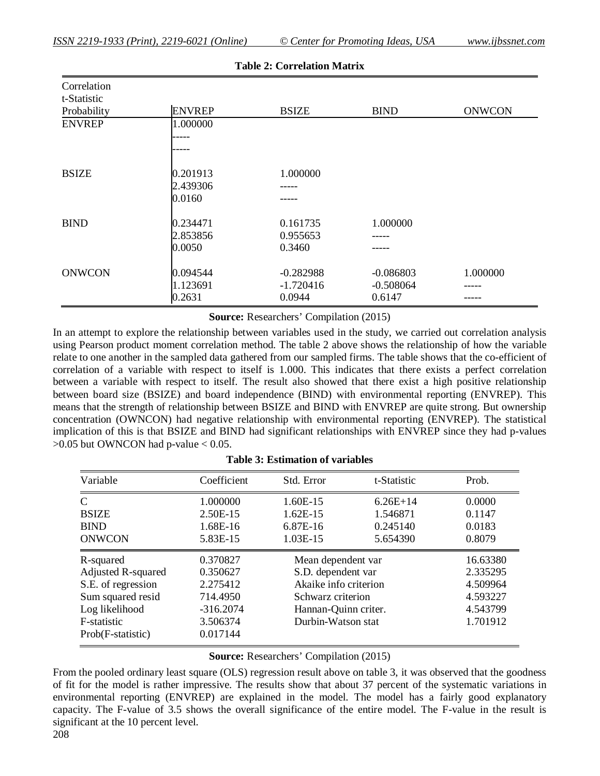| Correlation<br>t-Statistic |               |              |             |               |
|----------------------------|---------------|--------------|-------------|---------------|
| Probability                | <b>ENVREP</b> | <b>BSIZE</b> | <b>BIND</b> | <b>ONWCON</b> |
| <b>ENVREP</b>              | 1.000000      |              |             |               |
|                            |               |              |             |               |
|                            |               |              |             |               |
| <b>BSIZE</b>               | 0.201913      | 1.000000     |             |               |
|                            | 2.439306      |              |             |               |
|                            | 0.0160        |              |             |               |
| <b>BIND</b>                | 0.234471      | 0.161735     | 1.000000    |               |
|                            | 2.853856      | 0.955653     |             |               |
|                            | 0.0050        | 0.3460       |             |               |
| <b>ONWCON</b>              | 0.094544      | $-0.282988$  | $-0.086803$ | 1.000000      |
|                            | 1.123691      | $-1.720416$  | $-0.508064$ |               |
|                            | 0.2631        | 0.0944       | 0.6147      |               |

**Table 2: Correlation Matrix**

**Source:** Researchers' Compilation (2015)

In an attempt to explore the relationship between variables used in the study, we carried out correlation analysis using Pearson product moment correlation method. The table 2 above shows the relationship of how the variable relate to one another in the sampled data gathered from our sampled firms. The table shows that the co-efficient of correlation of a variable with respect to itself is 1.000. This indicates that there exists a perfect correlation between a variable with respect to itself. The result also showed that there exist a high positive relationship between board size (BSIZE) and board independence (BIND) with environmental reporting (ENVREP). This means that the strength of relationship between BSIZE and BIND with ENVREP are quite strong. But ownership concentration (OWNCON) had negative relationship with environmental reporting (ENVREP). The statistical implication of this is that BSIZE and BIND had significant relationships with ENVREP since they had p-values  $>0.05$  but OWNCON had p-value  $< 0.05$ .

| Variable                  | Coefficient | Std. Error            | t-Statistic | Prob.    |
|---------------------------|-------------|-----------------------|-------------|----------|
| $\mathcal{C}$             | 1.000000    | $1.60E-15$            | $6.26E+14$  | 0.0000   |
| <b>BSIZE</b>              | 2.50E-15    | $1.62E-15$            | 1.546871    | 0.1147   |
| <b>BIND</b>               | 1.68E-16    | 6.87E-16              | 0.245140    | 0.0183   |
| <b>ONWCON</b>             | 5.83E-15    | 1.03E-15              | 5.654390    | 0.8079   |
| R-squared                 | 0.370827    | Mean dependent var    |             | 16.63380 |
| <b>Adjusted R-squared</b> | 0.350627    | S.D. dependent var    |             | 2.335295 |
| S.E. of regression        | 2.275412    | Akaike info criterion |             | 4.509964 |
| Sum squared resid         | 714.4950    | Schwarz criterion     |             | 4.593227 |
| Log likelihood            | $-316.2074$ | Hannan-Quinn criter.  |             | 4.543799 |
| F-statistic               | 3.506374    | Durbin-Watson stat    |             | 1.701912 |
| Prob(F-statistic)         | 0.017144    |                       |             |          |

**Source:** Researchers' Compilation (2015)

From the pooled ordinary least square (OLS) regression result above on table 3, it was observed that the goodness of fit for the model is rather impressive. The results show that about 37 percent of the systematic variations in environmental reporting (ENVREP) are explained in the model. The model has a fairly good explanatory capacity. The F-value of 3.5 shows the overall significance of the entire model. The F-value in the result is significant at the 10 percent level.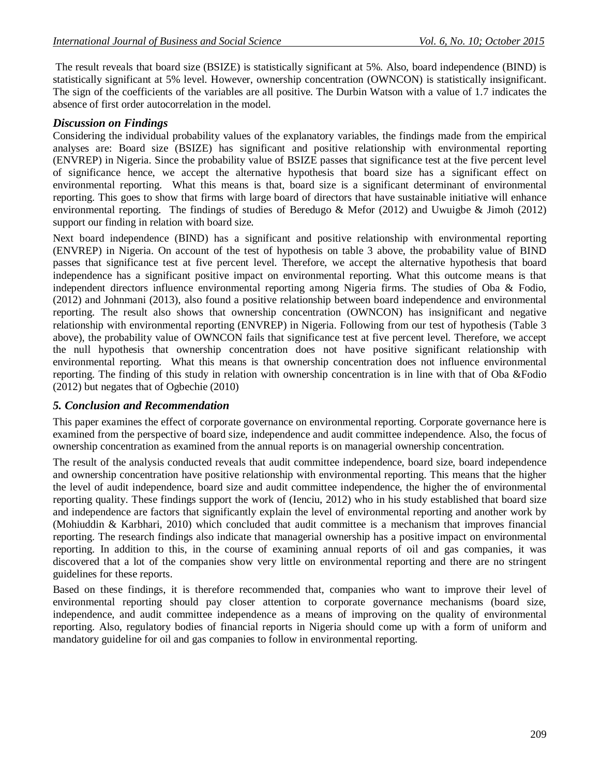The result reveals that board size (BSIZE) is statistically significant at 5%. Also, board independence (BIND) is statistically significant at 5% level. However, ownership concentration (OWNCON) is statistically insignificant. The sign of the coefficients of the variables are all positive. The Durbin Watson with a value of 1.7 indicates the absence of first order autocorrelation in the model.

## *Discussion on Findings*

Considering the individual probability values of the explanatory variables, the findings made from the empirical analyses are: Board size (BSIZE) has significant and positive relationship with environmental reporting (ENVREP) in Nigeria. Since the probability value of BSIZE passes that significance test at the five percent level of significance hence, we accept the alternative hypothesis that board size has a significant effect on environmental reporting. What this means is that, board size is a significant determinant of environmental reporting. This goes to show that firms with large board of directors that have sustainable initiative will enhance environmental reporting. The findings of studies of Beredugo & Mefor (2012) and Uwuigbe & Jimoh (2012) support our finding in relation with board size.

Next board independence (BIND) has a significant and positive relationship with environmental reporting (ENVREP) in Nigeria. On account of the test of hypothesis on table 3 above, the probability value of BIND passes that significance test at five percent level. Therefore, we accept the alternative hypothesis that board independence has a significant positive impact on environmental reporting. What this outcome means is that independent directors influence environmental reporting among Nigeria firms. The studies of Oba & Fodio, (2012) and Johnmani (2013), also found a positive relationship between board independence and environmental reporting. The result also shows that ownership concentration (OWNCON) has insignificant and negative relationship with environmental reporting (ENVREP) in Nigeria. Following from our test of hypothesis (Table 3 above), the probability value of OWNCON fails that significance test at five percent level. Therefore, we accept the null hypothesis that ownership concentration does not have positive significant relationship with environmental reporting. What this means is that ownership concentration does not influence environmental reporting. The finding of this study in relation with ownership concentration is in line with that of Oba &Fodio (2012) but negates that of Ogbechie (2010)

### *5. Conclusion and Recommendation*

This paper examines the effect of corporate governance on environmental reporting. Corporate governance here is examined from the perspective of board size, independence and audit committee independence. Also, the focus of ownership concentration as examined from the annual reports is on managerial ownership concentration.

The result of the analysis conducted reveals that audit committee independence, board size, board independence and ownership concentration have positive relationship with environmental reporting. This means that the higher the level of audit independence, board size and audit committee independence, the higher the of environmental reporting quality. These findings support the work of (Ienciu, 2012) who in his study established that board size and independence are factors that significantly explain the level of environmental reporting and another work by (Mohiuddin & Karbhari, 2010) which concluded that audit committee is a mechanism that improves financial reporting. The research findings also indicate that managerial ownership has a positive impact on environmental reporting. In addition to this, in the course of examining annual reports of oil and gas companies, it was discovered that a lot of the companies show very little on environmental reporting and there are no stringent guidelines for these reports.

Based on these findings, it is therefore recommended that, companies who want to improve their level of environmental reporting should pay closer attention to corporate governance mechanisms (board size, independence, and audit committee independence as a means of improving on the quality of environmental reporting. Also, regulatory bodies of financial reports in Nigeria should come up with a form of uniform and mandatory guideline for oil and gas companies to follow in environmental reporting.